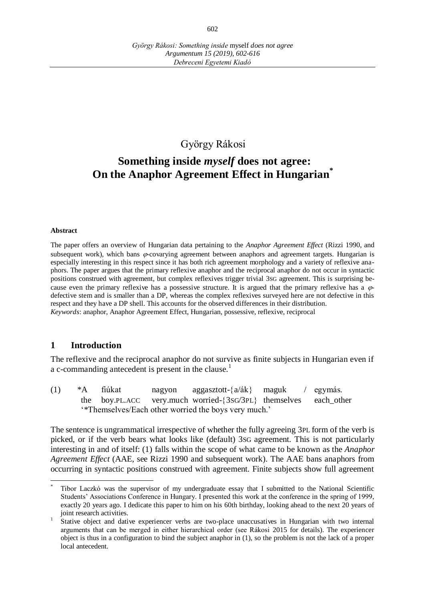## György Rákosi

# **Something inside** *myself* **does not agree: On the Anaphor Agreement Effect in Hungarian\***

#### **Abstract**

The paper offers an overview of Hungarian data pertaining to the *Anaphor Agreement Effect* (Rizzi 1990, and subsequent work), which bans  $\varphi$ -covarying agreement between anaphors and agreement targets. Hungarian is especially interesting in this respect since it has both rich agreement morphology and a variety of reflexive anaphors. The paper argues that the primary reflexive anaphor and the reciprocal anaphor do not occur in syntactic positions construed with agreement, but complex reflexives trigger trivial 3SG agreement. This is surprising because even the primary reflexive has a possessive structure. It is argued that the primary reflexive has a  $\varphi$ defective stem and is smaller than a DP, whereas the complex reflexives surveyed here are not defective in this respect and they have a DP shell. This accounts for the observed differences in their distribution. *Keywords*: anaphor, Anaphor Agreement Effect, Hungarian, possessive, reflexive, reciprocal

### **1 Introduction**

The reflexive and the reciprocal anaphor do not survive as finite subjects in Hungarian even if a c-commanding antecedent is present in the clause.<sup>1</sup>

(1)  $*A$  fiúkat nagyon aggasztott- $\{a/ak\}$  maguk / egymás. the boy.PL.ACC very.much worried-{3SG/3PL} themselves each\_other ʻ\*Themselves/Each other worried the boys very much.'

The sentence is ungrammatical irrespective of whether the fully agreeing 3PL form of the verb is picked, or if the verb bears what looks like (default) 3SG agreement. This is not particularly interesting in and of itself: (1) falls within the scope of what came to be known as the *Anaphor Agreement Effect* (AAE, see Rizzi 1990 and subsequent work). The AAE bans anaphors from occurring in syntactic positions construed with agreement. Finite subjects show full agreement

 $\overline{a}$ \* Tibor Laczkó was the supervisor of my undergraduate essay that I submitted to the National Scientific Students' Associations Conference in Hungary. I presented this work at the conference in the spring of 1999, exactly 20 years ago. I dedicate this paper to him on his 60th birthday, looking ahead to the next 20 years of joint research activities.

<sup>1</sup> Stative object and dative experiencer verbs are two-place unaccusatives in Hungarian with two internal arguments that can be merged in either hierarchical order (see Rákosi 2015 for details). The experiencer object is thus in a configuration to bind the subject anaphor in (1), so the problem is not the lack of a proper local antecedent.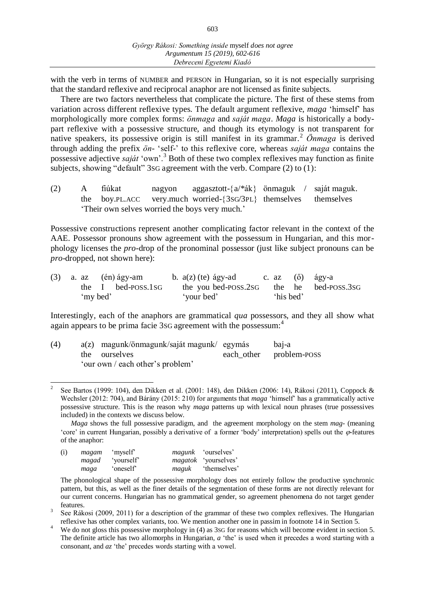603

with the verb in terms of NUMBER and PERSON in Hungarian, so it is not especially surprising that the standard reflexive and reciprocal anaphor are not licensed as finite subjects.

There are two factors nevertheless that complicate the picture. The first of these stems from variation across different reflexive types. The default argument reflexive, *maga* ʻhimself' has morphologically more complex forms: *önmaga* and *saját maga*. *Maga* is historically a bodypart reflexive with a possessive structure, and though its etymology is not transparent for native speakers, its possessive origin is still manifest in its grammar.<sup>2</sup> *Önmaga* is derived through adding the prefix *ön*- ʻself-' to this reflexive core, whereas *saját maga* contains the possessive adjective *saját* ʻown'.<sup>3</sup> Both of these two complex reflexives may function as finite subjects, showing "default" 3SG agreement with the verb. Compare (2) to (1):

(2) A fiúkat nagyon aggasztott- $\{a/*ak\}$  önmaguk / saját maguk. the boy.PL.ACC very.much worried-{3sG/3PL} themselves themselves ʻTheir own selves worried the boys very much.'

Possessive constructions represent another complicating factor relevant in the context of the AAE. Possessor pronouns show agreement with the possessum in Hungarian, and this morphology licenses the *pro*-drop of the pronominal possessor (just like subject pronouns can be *pro*-dropped, not shown here):

|  |          | $(3)$ a. az $(\text{én})$ ágy-am |            | b. $a(z)$ (te) ágy-ad c. az ( $\ddot{o}$ ) ágy-a |           |                                          |
|--|----------|----------------------------------|------------|--------------------------------------------------|-----------|------------------------------------------|
|  |          | the I bed-POSS.1sG               |            |                                                  |           | the you bed-POSS.2sG the he bed-POSS.3sG |
|  | 'my bed' |                                  | 'your bed' |                                                  | 'his bed' |                                          |

Interestingly, each of the anaphors are grammatical *qua* possessors, and they all show what again appears to be prima facie 3sG agreement with the possessum:<sup>4</sup>

| (4) | $a(z)$ magunk/önmagunk/saját magunk/ egymás | bai-a                   |
|-----|---------------------------------------------|-------------------------|
|     | the ourselves                               | each other problem-poss |
|     | 'our own / each other's problem'            |                         |

 $\overline{1}$ 2 See Bartos (1999: 104), den Dikken et al. (2001: 148), den Dikken (2006: 14), Rákosi (2011), Coppock & Wechsler (2012: 704), and Bárány (2015: 210) for arguments that *maga* ʻhimself' has a grammatically active possessive structure. This is the reason why *maga* patterns up with lexical noun phrases (true possessives included) in the contexts we discuss below.

*Maga* shows the full possessive paradigm, and the agreement morphology on the stem *mag*- (meaning 'core' in current Hungarian, possibly a derivative of a former 'body' interpretation) spells out the  $\varphi$ -features of the anaphor:

| (i) | magam | 'myself'   |       | <i>magunk</i> 'ourselves'   |
|-----|-------|------------|-------|-----------------------------|
|     | magad | 'yourself' |       | <i>magatok</i> 'yourselves' |
|     | maga  | 'oneself   | maguk | 'themselves'                |

The phonological shape of the possessive morphology does not entirely follow the productive synchronic pattern, but this, as well as the finer details of the segmentation of these forms are not directly relevant for our current concerns. Hungarian has no grammatical gender, so agreement phenomena do not target gender features.

We do not gloss this possessive morphology in (4) as 3SG for reasons which will become evident in section 5. The definite article has two allomorphs in Hungarian, *a* ʻthe' is used when it precedes a word starting with a consonant, and *az* ʻthe' precedes words starting with a vowel.

<sup>3</sup> See Rákosi (2009, 2011) for a description of the grammar of these two complex reflexives. The Hungarian reflexive has other complex variants, too. We mention another one in passim in footnote 14 in Section 5.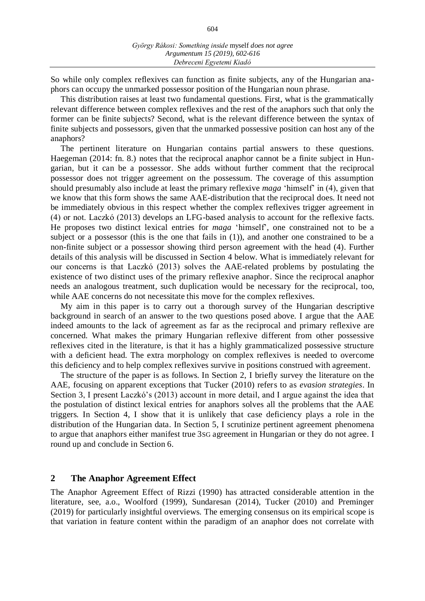604

So while only complex reflexives can function as finite subjects, any of the Hungarian anaphors can occupy the unmarked possessor position of the Hungarian noun phrase.

This distribution raises at least two fundamental questions. First, what is the grammatically relevant difference between complex reflexives and the rest of the anaphors such that only the former can be finite subjects? Second, what is the relevant difference between the syntax of finite subjects and possessors, given that the unmarked possessive position can host any of the anaphors?

The pertinent literature on Hungarian contains partial answers to these questions. Haegeman (2014: fn. 8.) notes that the reciprocal anaphor cannot be a finite subject in Hungarian, but it can be a possessor. She adds without further comment that the reciprocal possessor does not trigger agreement on the possessum. The coverage of this assumption should presumably also include at least the primary reflexive *maga* ʻhimself' in (4), given that we know that this form shows the same AAE-distribution that the reciprocal does. It need not be immediately obvious in this respect whether the complex reflexives trigger agreement in (4) or not. Laczkó (2013) develops an LFG-based analysis to account for the reflexive facts. He proposes two distinct lexical entries for *maga* ʻhimself', one constrained not to be a subject or a possessor (this is the one that fails in (1)), and another one constrained to be a non-finite subject or a possessor showing third person agreement with the head (4). Further details of this analysis will be discussed in Section 4 below. What is immediately relevant for our concerns is that Laczkó (2013) solves the AAE-related problems by postulating the existence of two distinct uses of the primary reflexive anaphor. Since the reciprocal anaphor needs an analogous treatment, such duplication would be necessary for the reciprocal, too, while AAE concerns do not necessitate this move for the complex reflexives.

My aim in this paper is to carry out a thorough survey of the Hungarian descriptive background in search of an answer to the two questions posed above. I argue that the AAE indeed amounts to the lack of agreement as far as the reciprocal and primary reflexive are concerned. What makes the primary Hungarian reflexive different from other possessive reflexives cited in the literature, is that it has a highly grammaticalized possessive structure with a deficient head. The extra morphology on complex reflexives is needed to overcome this deficiency and to help complex reflexives survive in positions construed with agreement.

The structure of the paper is as follows. In Section 2, I briefly survey the literature on the AAE, focusing on apparent exceptions that Tucker (2010) refers to as *evasion strategies*. In Section 3, I present Laczkó's (2013) account in more detail, and I argue against the idea that the postulation of distinct lexical entries for anaphors solves all the problems that the AAE triggers. In Section 4, I show that it is unlikely that case deficiency plays a role in the distribution of the Hungarian data. In Section 5, I scrutinize pertinent agreement phenomena to argue that anaphors either manifest true 3SG agreement in Hungarian or they do not agree. I round up and conclude in Section 6.

#### **2 The Anaphor Agreement Effect**

The Anaphor Agreement Effect of Rizzi (1990) has attracted considerable attention in the literature, see, a.o., Woolford (1999), Sundaresan (2014), Tucker (2010) and Preminger (2019) for particularly insightful overviews. The emerging consensus on its empirical scope is that variation in feature content within the paradigm of an anaphor does not correlate with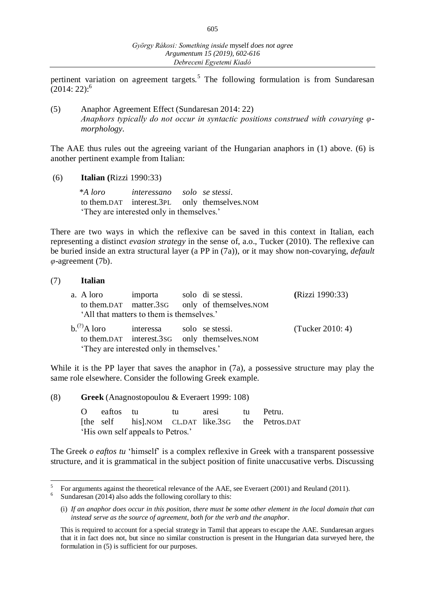pertinent variation on agreement targets.<sup>5</sup> The following formulation is from Sundaresan  $(2014:22)$ :<sup>6</sup>

(5) Anaphor Agreement Effect (Sundaresan 2014: 22) *Anaphors typically do not occur in syntactic positions construed with covarying φmorphology.*

The AAE thus rules out the agreeing variant of the Hungarian anaphors in (1) above. (6) is another pertinent example from Italian:

(6) **Italian (**Rizzi 1990:33)

 \**A loro interessano solo se stessi*. to them.DAT interest.3PL only themselves.NOM 'They are interested only in themselves.'

There are two ways in which the reflexive can be saved in this context in Italian, each representing a distinct *evasion strategy* in the sense of, a.o., Tucker (2010). The reflexive can be buried inside an extra structural layer (a PP in (7a)), or it may show non-covarying, *default φ*-agreement (7b).

#### (7) **Italian**

|                                           | a. A loro importa solo di se stessi.                                   |  | to them.DAT matter.3sG only of themselves.NOM | (Rizzi 1990:33)    |  |  |  |  |  |  |
|-------------------------------------------|------------------------------------------------------------------------|--|-----------------------------------------------|--------------------|--|--|--|--|--|--|
| 'All that matters to them is themselves.' |                                                                        |  |                                               |                    |  |  |  |  |  |  |
| $b^{(?)}$ A loro                          | interessa solo se stessi.<br>'They are interested only in themselves.' |  | to them.DAT interest.3sG only themselves.NOM  | (Tucker $2010:4$ ) |  |  |  |  |  |  |

While it is the PP layer that saves the anaphor in  $(7a)$ , a possessive structure may play the same role elsewhere. Consider the following Greek example.

(8) **Greek** (Anagnostopoulou & Everaert 1999: 108)

O eaftos tu tu aresi tu Petru. [the self his].NOM CL.DAT like.3SG the Petros.DAT 'His own self appeals to Petros.'

The Greek *o eaftos tu* 'himself' is a complex reflexive in Greek with a transparent possessive structure, and it is grammatical in the subject position of finite unaccusative verbs. Discussing

l 5 For arguments against the theoretical relevance of the AAE, see Everaert (2001) and Reuland (2011).

<sup>6</sup> Sundaresan (2014) also adds the following corollary to this:

<sup>(</sup>i) *If an anaphor does occur in this position, there must be some other element in the local domain that can instead serve as the source of agreement, both for the verb and the anaphor*.

This is required to account for a special strategy in Tamil that appears to escape the AAE. Sundaresan argues that it in fact does not, but since no similar construction is present in the Hungarian data surveyed here, the formulation in (5) is sufficient for our purposes.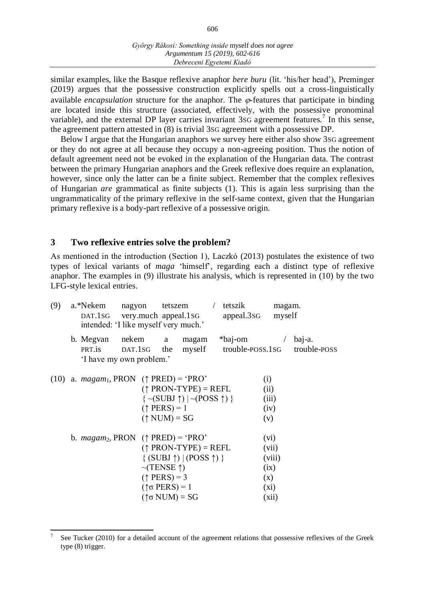similar examples, like the Basque reflexive anaphor *bere buru* (lit. ʻhis/her head'), Preminger (2019) argues that the possessive construction explicitly spells out a cross-linguistically available *encapsulation* structure for the anaphor. The  $\varphi$ -features that participate in binding are located inside this structure (associated, effectively, with the possessive pronominal variable), and the external DP layer carries invariant  $3sG$  agreement features.<sup>7</sup> In this sense, the agreement pattern attested in (8) is trivial 3SG agreement with a possessive DP.

Below I argue that the Hungarian anaphors we survey here either also show 3SG agreement or they do not agree at all because they occupy a non-agreeing position. Thus the notion of default agreement need not be evoked in the explanation of the Hungarian data. The contrast between the primary Hungarian anaphors and the Greek reflexive does require an explanation, however, since only the latter can be a finite subject. Remember that the complex reflexives of Hungarian *are* grammatical as finite subjects (1). This is again less surprising than the ungrammaticality of the primary reflexive in the self-same context, given that the Hungarian primary reflexive is a body-part reflexive of a possessive origin.

#### **3 Two reflexive entries solve the problem?**

As mentioned in the introduction (Section 1), Laczkó (2013) postulates the existence of two types of lexical variants of *maga* ʻhimself', regarding each a distinct type of reflexive anaphor. The examples in (9) illustrate his analysis, which is represented in (10) by the two LFG-style lexical entries.

| (9) | a.*Nekem                                                           | nagyon tetszem<br>DAT.1SG very.much appeal.1SG<br>intended: 'I like myself very much.'                                                                                                                                                           | / tetszik<br>appeal.3sG            | magam.<br>myself                                    |
|-----|--------------------------------------------------------------------|--------------------------------------------------------------------------------------------------------------------------------------------------------------------------------------------------------------------------------------------------|------------------------------------|-----------------------------------------------------|
|     | b. Megvan nekem a<br>DAT.1SG<br>PRT.is<br>'I have my own problem.' | magam<br>the                                                                                                                                                                                                                                     | *baj-om<br>myself trouble-poss.1sG | baj-a.<br>$\sqrt{2}$<br>trouble-POSS                |
|     |                                                                    | (10) a. $magam_1$ , PRON ( $\uparrow$ PRED) = 'PRO'<br>$(\uparrow$ PRON-TYPE) = REFL<br>$\{ \sim (SUBJ \uparrow)   \sim (POSS \uparrow) \}$<br>$(\uparrow$ PERS) = 1<br>$(\uparrow$ NUM) = SG                                                    | (i)<br>(ii)<br>(v)                 | (iii)<br>(iv)                                       |
|     |                                                                    | b. <i>magam</i> <sub>2</sub> , PRON $(\uparrow$ PRED) = 'PRO'<br>$(†$ PRON-TYPE) = REFL<br>$\{(SUBJ \uparrow)   (POS \uparrow) \}$<br>$\sim$ (TENSE $\uparrow$ )<br>$(\uparrow$ PERS) = 3<br>$(\uparrow \sigma$ PERS) = 1<br>$($ ↑σ NUM $)$ = SG | (x)                                | (vi)<br>(vii)<br>(viii)<br>(ix)<br>$(x_i)$<br>(xii) |

 $\overline{a}$ 7 See Tucker (2010) for a detailed account of the agreement relations that possessive reflexives of the Greek type (8) trigger.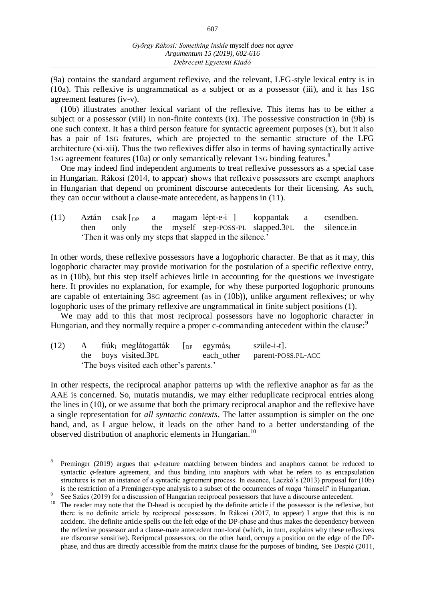(9a) contains the standard argument reflexive, and the relevant, LFG-style lexical entry is in (10a). This reflexive is ungrammatical as a subject or as a possessor (iii), and it has 1SG agreement features (iv-v).

(10b) illustrates another lexical variant of the reflexive. This items has to be either a subject or a possessor (viii) in non-finite contexts (ix). The possessive construction in (9b) is one such context. It has a third person feature for syntactic agreement purposes (x), but it also has a pair of 1SG features, which are projected to the semantic structure of the LFG architecture (xi-xii). Thus the two reflexives differ also in terms of having syntactically active 1sG agreement features (10a) or only semantically relevant 1sG binding features.<sup>8</sup>

One may indeed find independent arguments to treat reflexive possessors as a special case in Hungarian. Rákosi (2014, to appear) shows that reflexive possessors are exempt anaphors in Hungarian that depend on prominent discourse antecedents for their licensing. As such, they can occur without a clause-mate antecedent, as happens in (11).

(11) Aztán csak [DP a magam lépt-e-i ] koppantak a csendben. then only the myself step-POSS-PL slapped.3PL the silence.in ʻThen it was only my steps that slapped in the silence.'

In other words, these reflexive possessors have a logophoric character. Be that as it may, this logophoric character may provide motivation for the postulation of a specific reflexive entry, as in (10b), but this step itself achieves little in accounting for the questions we investigate here. It provides no explanation, for example, for why these purported logophoric pronouns are capable of entertaining 3SG agreement (as in (10b)), unlike argument reflexives; or why logophoric uses of the primary reflexive are ungrammatical in finite subject positions (1).

We may add to this that most reciprocal possessors have no logophoric character in Hungarian, and they normally require a proper c-commanding antecedent within the clause:<sup>9</sup>

(12) A fiúk<sub>i</sub> meglátogatták  $\lceil_{DP}$  egymás<sub>i</sub> szüle-i-t]. the boys visited.3PL each other parent-POSS.PL-ACC ʻThe boys visited each other's parents.'

l

In other respects, the reciprocal anaphor patterns up with the reflexive anaphor as far as the AAE is concerned. So, mutatis mutandis, we may either reduplicate reciprocal entries along the lines in (10), or we assume that both the primary reciprocal anaphor and the reflexive have a single representation for *all syntactic contexts*. The latter assumption is simpler on the one hand, and, as I argue below, it leads on the other hand to a better understanding of the observed distribution of anaphoric elements in Hungarian.<sup>10</sup>

<sup>8</sup> Preminger (2019) argues that  $\varphi$ -feature matching between binders and anaphors cannot be reduced to syntactic  $\varphi$ -feature agreement, and thus binding into anaphors with what he refers to as encapsulation structures is not an instance of a syntactic agreement process. In essence, Laczkó's (2013) proposal for (10b) is the restriction of a Preminger-type analysis to a subset of the occurrences of *maga* ʻhimself' in Hungarian.

<sup>9</sup> See Szűcs (2019) for a discussion of Hungarian reciprocal possessors that have a discourse antecedent.

<sup>&</sup>lt;sup>10</sup> The reader may note that the D-head is occupied by the definite article if the possessor is the reflexive, but there is no definite article by reciprocal possessors. In Rákosi (2017, to appear) I argue that this is no accident. The definite article spells out the left edge of the DP-phase and thus makes the dependency between the reflexive possessor and a clause-mate antecedent non-local (which, in turn, explains why these reflexives are discourse sensitive). Reciprocal possessors, on the other hand, occupy a position on the edge of the DPphase, and thus are directly accessible from the matrix clause for the purposes of binding. See Despić (2011,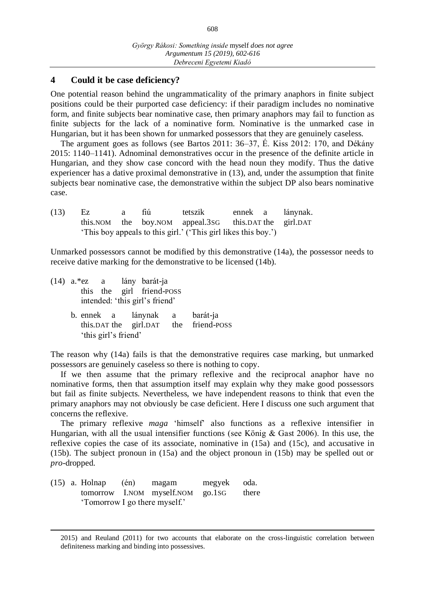#### **4 Could it be case deficiency?**

One potential reason behind the ungrammaticality of the primary anaphors in finite subject positions could be their purported case deficiency: if their paradigm includes no nominative form, and finite subjects bear nominative case, then primary anaphors may fail to function as finite subjects for the lack of a nominative form. Nominative is the unmarked case in Hungarian, but it has been shown for unmarked possessors that they are genuinely caseless.

The argument goes as follows (see Bartos 2011: 36–37, É. Kiss 2012: 170, and Dékány 2015: 1140–1141). Adnominal demonstratives occur in the presence of the definite article in Hungarian, and they show case concord with the head noun they modify. Thus the dative experiencer has a dative proximal demonstrative in (13), and, under the assumption that finite subjects bear nominative case, the demonstrative within the subject DP also bears nominative case.

| (13) | Ez. | a | fiú | tetszik                                                        |  | ennek a lánynak. |
|------|-----|---|-----|----------------------------------------------------------------|--|------------------|
|      |     |   |     | this. NOM the boy. NOM appeal. 3s this. DAT the girl. DAT      |  |                  |
|      |     |   |     | 'This boy appeals to this girl.' ('This girl likes this boy.') |  |                  |

Unmarked possessors cannot be modified by this demonstrative (14a), the possessor needs to receive dative marking for the demonstrative to be licensed (14b).

- (14) a.\*ez a lány barát-ja this the girl friend-POSS intended: ʻthis girl's friend'
	- b. ennek a lánynak a barát-ja this.DAT the girl.DAT the friend-POSS ʻthis girl's friend'

The reason why (14a) fails is that the demonstrative requires case marking, but unmarked possessors are genuinely caseless so there is nothing to copy.

If we then assume that the primary reflexive and the reciprocal anaphor have no nominative forms, then that assumption itself may explain why they make good possessors but fail as finite subjects. Nevertheless, we have independent reasons to think that even the primary anaphors may not obviously be case deficient. Here I discuss one such argument that concerns the reflexive.

The primary reflexive *maga* ʻhimself' also functions as a reflexive intensifier in Hungarian, with all the usual intensifier functions (see König & Gast 2006). In this use, the reflexive copies the case of its associate, nominative in (15a) and (15c), and accusative in (15b). The subject pronoun in (15a) and the object pronoun in (15b) may be spelled out or *pro-*dropped.

(15) a. Holnap (én) magam megyek oda. tomorrow I.NOM myself.NOM go.1SG there ʻTomorrow I go there myself.'

 $\overline{a}$ 

<sup>2015)</sup> and Reuland (2011) for two accounts that elaborate on the cross-linguistic correlation between definiteness marking and binding into possessives.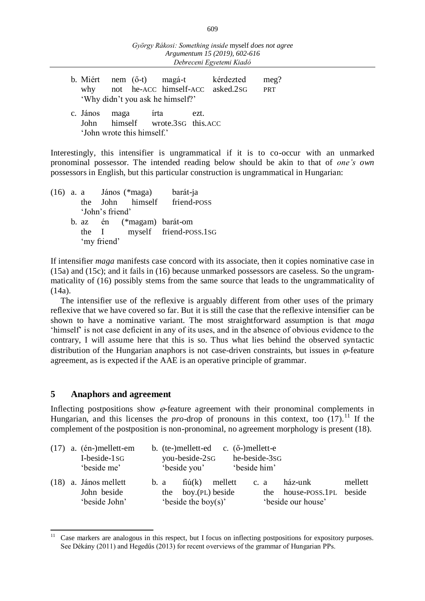|                    |                            | 'Why didn't you ask he himself?' |      | b. Miért nem (ő-t) magá-t kérdezted<br>why not he-ACC himself-ACC asked.2sG | meg?<br><b>PRT</b> |
|--------------------|----------------------------|----------------------------------|------|-----------------------------------------------------------------------------|--------------------|
| c. János maga írta | 'John wrote this himself.' | John himself wrote.3sG this.ACC  | ezt. |                                                                             |                    |

Interestingly, this intensifier is ungrammatical if it is to co-occur with an unmarked pronominal possessor. The intended reading below should be akin to that of *one's own*  possessors in English, but this particular construction is ungrammatical in Hungarian:

(16) a. a János (\*maga) barát-ja the John himself friend-POSS ʻJohn's friend' b. az én (\*magam) barát-om the I myself friend-POSS.1SG ʻmy friend'

If intensifier *maga* manifests case concord with its associate, then it copies nominative case in (15a) and (15c); and it fails in (16) because unmarked possessors are caseless. So the ungrammaticality of (16) possibly stems from the same source that leads to the ungrammaticality of (14a).

The intensifier use of the reflexive is arguably different from other uses of the primary reflexive that we have covered so far. But it is still the case that the reflexive intensifier can be shown to have a nominative variant. The most straightforward assumption is that *maga* ʻhimself' is not case deficient in any of its uses, and in the absence of obvious evidence to the contrary, I will assume here that this is so. Thus what lies behind the observed syntactic distribution of the Hungarian anaphors is not case-driven constraints, but issues in  $\varphi$ -feature agreement, as is expected if the AAE is an operative principle of grammar.

### **5 Anaphors and agreement**

 $\overline{a}$ 

Inflecting postpositions show  $\varphi$ -feature agreement with their pronominal complements in Hungarian, and this licenses the *pro*-drop of pronouns in this context, too  $(17)$ .<sup>11</sup> If the complement of the postposition is non-pronominal, no agreement morphology is present (18).

|  | $(17)$ a. $(én-)mellett-em$<br>I-beside-1sG<br>'beside me' |      | b. $(te-)mellett-ed$ c. $(0-)mellett-e$<br>you-beside-2sG<br>'beside you' | he-beside-3sG<br>'beside him' |      |                                                     |                   |
|--|------------------------------------------------------------|------|---------------------------------------------------------------------------|-------------------------------|------|-----------------------------------------------------|-------------------|
|  | $(18)$ a. János mellett<br>John beside<br>'beside John'    | b. a | $fi\mathfrak{u}(k)$ mellett<br>the boy.(PL) beside<br>'beside the boy(s)' |                               | c. a | ház-unk<br>the house-poss.1PL<br>'beside our house' | mellett<br>beside |

Case markers are analogous in this respect, but I focus on inflecting postpositions for expository purposes. See Dékány (2011) and Hegedűs (2013) for recent overviews of the grammar of Hungarian PPs.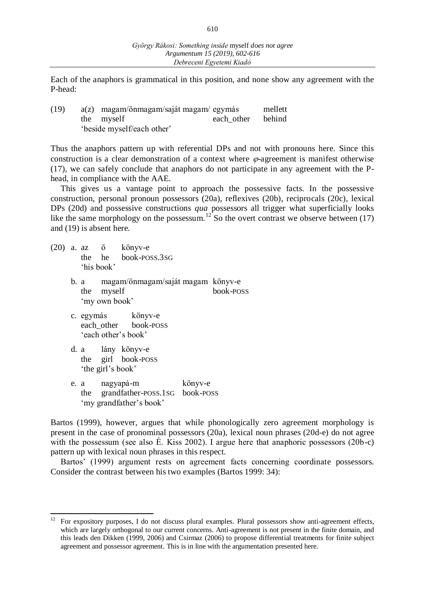Each of the anaphors is grammatical in this position, and none show any agreement with the P-head:

(19) a(z) magam/önmagam/saját magam/ egymás mellett the myself each other behind ʻbeside myself/each other'

Thus the anaphors pattern up with referential DPs and not with pronouns here. Since this construction is a clear demonstration of a context where  $\varphi$ -agreement is manifest otherwise (17), we can safely conclude that anaphors do not participate in any agreement with the Phead, in compliance with the AAE.

This gives us a vantage point to approach the possessive facts. In the possessive construction, personal pronoun possessors (20a), reflexives (20b), reciprocals (20c), lexical DPs (20d) and possessive constructions *qua* possessors all trigger what superficially looks like the same morphology on the possessum.<sup>12</sup> So the overt contrast we observe between (17) and (19) is absent here.

- (20) a. az ő könyv-e the he book-POSS.3SG ʻhis book'
	- b. a magam/önmagam/saját magam könyv-e the myself book-POSS ʻmy own book'
	- c. egymás könyv-e each other book-POSS ʻeach other's book'
	- d. a lány könyv-e the girl book-POSS ʻthe girl's book'
	- e. a nagyapá-m könyv-e the grandfather-POSS.1SG book-POSS ʻmy grandfather's book'

Bartos (1999), however, argues that while phonologically zero agreement morphology is present in the case of pronominal possessors (20a), lexical noun phrases (20d-e) do not agree with the possessum (see also É. Kiss 2002). I argue here that anaphoric possessors (20b-c) pattern up with lexical noun phrases in this respect.

Bartos' (1999) argument rests on agreement facts concerning coordinate possessors. Consider the contrast between his two examples (Bartos 1999: 34):

 $12\,$ <sup>12</sup> For expository purposes, I do not discuss plural examples. Plural possessors show anti-agreement effects, which are largely orthogonal to our current concerns. Anti-agreement is not present in the finite domain, and this leads den Dikken (1999, 2006) and Csirmaz (2006) to propose differential treatments for finite subject agreement and possessor agreement. This is in line with the argumentation presented here.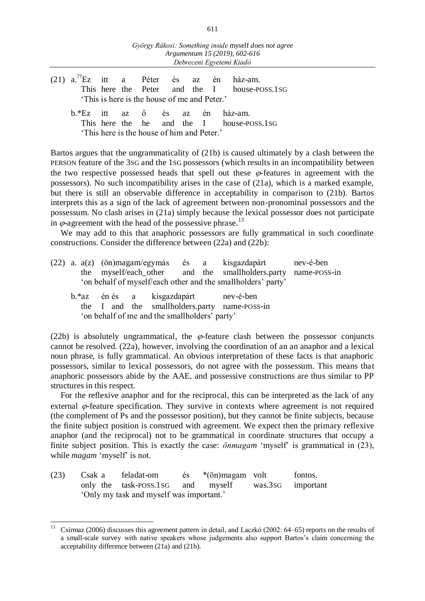- (21)  $a^{27}Ez$  itt a Péter és az én ház-am. This here the Peter and the I house-POSS.1SG 'This is here is the house of me and Peter.'
	- b.\*Ez itt az ő és az én ház-am. This here the he and the I house-POSS.1SG 'This here is the house of him and Peter.'

Bartos argues that the ungrammaticality of (21b) is caused ultimately by a clash between the PERSON feature of the 3SG and the 1SG possessors (which results in an incompatibility between the two respective possessed heads that spell out these  $\varphi$ -features in agreement with the possessors). No such incompatibility arises in the case of (21a), which is a marked example, but there is still an observable difference in acceptability in comparison to (21b). Bartos interprets this as a sign of the lack of agreement between non-pronominal possessors and the possessum. No clash arises in (21a) simply because the lexical possessor does not participate in  $\varphi$ -agreement with the head of the possessive phrase.<sup>13</sup>

We may add to this that anaphoric possessors are fully grammatical in such coordinate constructions. Consider the difference between (22a) and (22b):

|                                               |                                                              |  |                                                               | $(22)$ a. $a(z)$ (ön)magam/egymás és a kisgazdapárt |                                      |  | nev-é-ben                                                                                |  |  |  |  |
|-----------------------------------------------|--------------------------------------------------------------|--|---------------------------------------------------------------|-----------------------------------------------------|--------------------------------------|--|------------------------------------------------------------------------------------------|--|--|--|--|
|                                               |                                                              |  | the myself/each_other and the smallholders.party name-poss-in |                                                     |                                      |  |                                                                                          |  |  |  |  |
|                                               | 'on behalf of myself/each other and the smallholders' party' |  |                                                               |                                                     |                                      |  |                                                                                          |  |  |  |  |
|                                               |                                                              |  |                                                               |                                                     | b.*az én és a kisgazdapárt nev-é-ben |  |                                                                                          |  |  |  |  |
|                                               |                                                              |  |                                                               |                                                     |                                      |  | the I and the smallholders.party name-POSS-in                                            |  |  |  |  |
| 'on behalf of me and the smallholders' party' |                                                              |  |                                                               |                                                     |                                      |  |                                                                                          |  |  |  |  |
|                                               |                                                              |  |                                                               |                                                     |                                      |  |                                                                                          |  |  |  |  |
|                                               |                                                              |  |                                                               |                                                     |                                      |  | (2015), in abordant de communication that is fortune about batterian that is accessories |  |  |  |  |

(22b) is absolutely ungrammatical, the  $\varphi$ -feature clash between the possessor conjuncts cannot be resolved. (22a), however, involving the coordination of an an anaphor and a lexical noun phrase, is fully grammatical. An obvious interpretation of these facts is that anaphoric possessors, similar to lexical possessors, do not agree with the possessum. This means that anaphoric possessors abide by the AAE, and possessive constructions are thus similar to PP structures in this respect.

For the reflexive anaphor and for the reciprocal, this can be interpreted as the lack of any external  $\varphi$ -feature specification. They survive in contexts where agreement is not required (the complement of Ps and the possessor position), but they cannot be finite subjects, because the finite subject position is construed with agreement. We expect then the primary reflexive anaphor (and the reciprocal) not to be grammatical in coordinate structures that occupy a finite subject position. This is exactly the case:  $\ddot{o}n$  magam 'myself' is grammatical in (23), while *magam* 'myself' is not.

(23) Csak a feladat-om és \*(ön)magam volt fontos. only the task-POSS.1SG and myself was.3SG important ʻOnly my task and myself was important.'

<sup>13</sup> Csirmaz (2006) discusses this agreement pattern in detail, and Laczkó (2002: 64–65) reports on the results of a small-scale survey with native speakers whose judgements also support Bartos's claim concerning the acceptability difference between (21a) and (21b).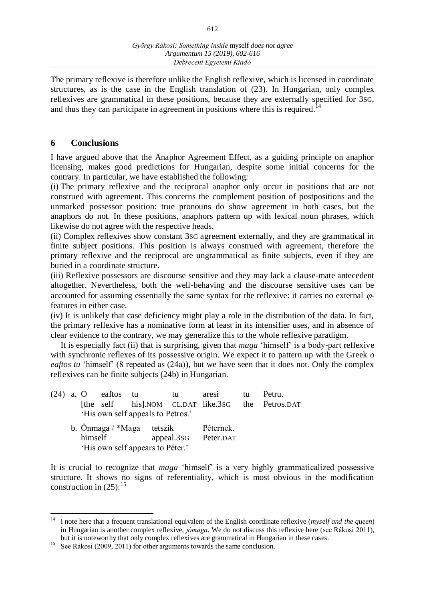612

The primary reflexive is therefore unlike the English reflexive, which is licensed in coordinate structures, as is the case in the English translation of (23). In Hungarian, only complex reflexives are grammatical in these positions, because they are externally specified for 3SG, and thus they can participate in agreement in positions where this is required.<sup>14</sup>

## **6 Conclusions**

I have argued above that the Anaphor Agreement Effect, as a guiding principle on anaphor licensing, makes good predictions for Hungarian, despite some initial concerns for the contrary. In particular, we have established the following:

(i) The primary reflexive and the reciprocal anaphor only occur in positions that are not construed with agreement. This concerns the complement position of postpositions and the unmarked possessor position: true pronouns do show agreement in both cases, but the anaphors do not. In these positions, anaphors pattern up with lexical noun phrases, which likewise do not agree with the respective heads.

(ii) Complex reflexives show constant 3SG agreement externally, and they are grammatical in finite subject positions. This position is always construed with agreement, therefore the primary reflexive and the reciprocal are ungrammatical as finite subjects, even if they are buried in a coordinate structure.

(iii) Reflexive possessors are discourse sensitive and they may lack a clause-mate antecedent altogether. Nevertheless, both the well-behaving and the discourse sensitive uses can be accounted for assuming essentially the same syntax for the reflexive: it carries no external  $\varphi$ features in either case.

(iv) It is unlikely that case deficiency might play a role in the distribution of the data. In fact, the primary reflexive has a nominative form at least in its intensifier uses, and in absence of clear evidence to the contrary, we may generalize this to the whole reflexive paradigm.

It is especially fact (ii) that is surprising, given that *maga* ʻhimself' is a body-part reflexive with synchronic reflexes of its possessive origin. We expect it to pattern up with the Greek *o eaftos tu* 'himself' (8 repeated as (24a)), but we have seen that it does not. Only the complex reflexives can be finite subjects (24b) in Hungarian.

|                             |         | $(24)$ a. O eaftos tu             | tu tu |                      | aresi     | tu | Petru.                                            |
|-----------------------------|---------|-----------------------------------|-------|----------------------|-----------|----|---------------------------------------------------|
|                             |         |                                   |       |                      |           |    | [the self his].NOM CL.DAT like.3sG the Petros.DAT |
|                             |         | 'His own self appeals to Petros.' |       |                      |           |    |                                                   |
| b. Önmaga $/$ *Maga tetszik |         |                                   |       |                      | Péternek. |    |                                                   |
|                             | himself |                                   |       | appeal.3sG Peter.DAT |           |    |                                                   |

ʻHis own self appears to Péter.'

It is crucial to recognize that *maga* ʻhimself' is a very highly grammaticalized possessive structure. It shows no signs of referentiality, which is most obvious in the modification construction in  $(25)$ :<sup>15</sup>

<sup>14</sup> <sup>14</sup> I note here that a frequent translational equivalent of the English coordinate reflexive (*myself and the queen*) in Hungarian is another complex reflexive, *jómaga*. We do not discuss this reflexive here (see Rákosi 2011), but it is noteworthy that only complex reflexives are grammatical in Hungarian in these cases.

<sup>&</sup>lt;sup>15</sup> See Rákosi (2009, 2011) for other arguments towards the same conclusion.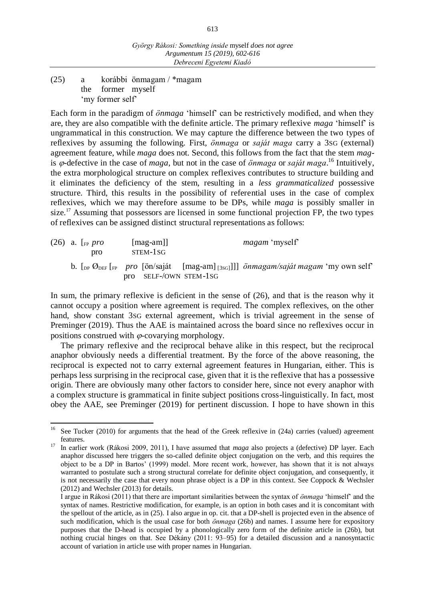(25) a korábbi önmagam / \*magam the former myself ʻmy former self'

Each form in the paradigm of *önmaga* ʻhimself' can be restrictively modified, and when they are, they are also compatible with the definite article. The primary reflexive *maga* ʻhimself' is ungrammatical in this construction. We may capture the difference between the two types of reflexives by assuming the following. First, *önmaga* or *saját maga* carry a 3SG (external) agreement feature, while *maga* does not. Second, this follows from the fact that the stem *mag*is  $\varphi$ -defective in the case of *maga*, but not in the case of *önmaga* or *saját maga*.<sup>16</sup> Intuitively, the extra morphological structure on complex reflexives contributes to structure building and it eliminates the deficiency of the stem, resulting in a *less grammaticalized* possessive structure. Third, this results in the possibility of referential uses in the case of complex reflexives, which we may therefore assume to be DPs, while *maga* is possibly smaller in size.<sup>17</sup> Assuming that possessors are licensed in some functional projection FP, the two types of reflexives can be assigned distinct structural representations as follows:

|  | $(26)$ a. [ <sub>FP</sub> pro]<br>pro | $[\text{mag-am}]$<br>STEM-1SG | <i>magam</i> 'myself' |                                                                                                                                                                           |  |  |
|--|---------------------------------------|-------------------------------|-----------------------|---------------------------------------------------------------------------------------------------------------------------------------------------------------------------|--|--|
|  |                                       | pro SELF-/OWN STEM-1SG        |                       | b. $\left[\int_{DP} \mathcal{O}_{DEF}\right]_{FP}$ pro $\left[\frac{\text{in}}{\text{sin/saját}}\right]_{\text{[mag-am]}}$ on $\left[\frac{\text{in}}{\text{cos}}\right]$ |  |  |

In sum, the primary reflexive is deficient in the sense of (26), and that is the reason why it cannot occupy a position where agreement is required. The complex reflexives, on the other hand, show constant 3SG external agreement, which is trivial agreement in the sense of Preminger (2019). Thus the AAE is maintained across the board since no reflexives occur in positions construed with  $\varphi$ -covarying morphology.

The primary reflexive and the reciprocal behave alike in this respect, but the reciprocal anaphor obviously needs a differential treatment. By the force of the above reasoning, the reciprocal is expected not to carry external agreement features in Hungarian, either. This is perhaps less surprising in the reciprocal case, given that it is the reflexive that has a possessive origin. There are obviously many other factors to consider here, since not every anaphor with a complex structure is grammatical in finite subject positions cross-linguistically. In fact, most obey the AAE, see Preminger (2019) for pertinent discussion. I hope to have shown in this

 $16\,$ See Tucker (2010) for arguments that the head of the Greek reflexive in (24a) carries (valued) agreement features.

<sup>&</sup>lt;sup>17</sup> In earlier work (Rákosi 2009, 2011), I have assumed that *maga* also projects a (defective) DP layer. Each anaphor discussed here triggers the so-called definite object conjugation on the verb, and this requires the object to be a DP in Bartos' (1999) model. More recent work, however, has shown that it is not always warranted to postulate such a strong structural correlate for definite object conjugation, and consequently, it is not necessarily the case that every noun phrase object is a DP in this context. See Coppock & Wechsler (2012) and Wechsler (2013) for details.

I argue in Rákosi (2011) that there are important similarities between the syntax of *önmaga* ʻhimself' and the syntax of names. Restrictive modification, for example, is an option in both cases and it is concomitant with the spellout of the article, as in (25). I also argue in op. cit. that a DP-shell is projected even in the absence of such modification, which is the usual case for both *önmaga* (26b) and names. I assume here for expository purposes that the D-head is occupied by a phonologically zero form of the definite article in (26b), but nothing crucial hinges on that. See Dékány (2011: 93–95) for a detailed discussion and a nanosyntactic account of variation in article use with proper names in Hungarian.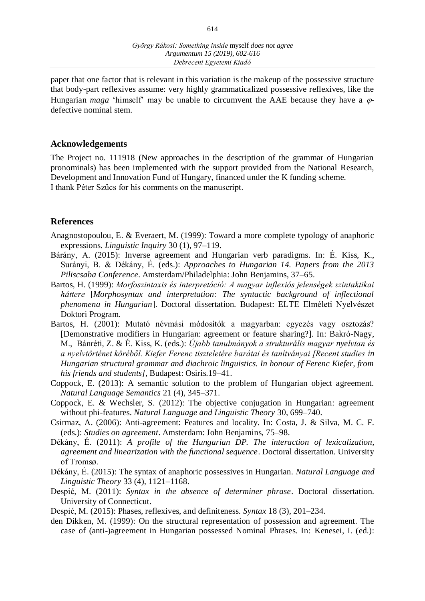paper that one factor that is relevant in this variation is the makeup of the possessive structure that body-part reflexives assume: very highly grammaticalized possessive reflexives, like the Hungarian *maga* 'himself' may be unable to circumvent the AAE because they have a  $\varphi$ defective nominal stem.

#### **Acknowledgements**

The Project no. 111918 (New approaches in the description of the grammar of Hungarian pronominals) has been implemented with the support provided from the National Research, Development and Innovation Fund of Hungary, financed under the K funding scheme. I thank Péter Szűcs for his comments on the manuscript.

#### **References**

Anagnostopoulou, E. & Everaert, M. (1999): Toward a more complete typology of anaphoric expressions. *Linguistic Inquiry* 30 (1), 97–119.

- Bárány, A. (2015): Inverse agreement and Hungarian verb paradigms. In: É. Kiss, K., Surányi, B. & Dékány, É. (eds.): *Approaches to Hungarian 14. Papers from the 2013 Piliscsaba Conference*. Amsterdam/Philadelphia: John Benjamins, 37–65.
- Bartos, H. (1999): *Morfoszintaxis és interpretáció: A magyar inflexiós jelenségek szintaktikai háttere* [*Morphosyntax and interpretation: The syntactic background of inflectional phenomena in Hungarian*]. Doctoral dissertation. Budapest: ELTE Elméleti Nyelvészet Doktori Program.
- Bartos, H. (2001): Mutató névmási módosítók a magyarban: egyezés vagy osztozás? [Demonstrative modifiers in Hungarian: agreement or feature sharing?]. In: Bakró-Nagy, M., Bánréti, Z. & É. Kiss, K. (eds.): *Újabb tanulmányok a strukturális magyar nyelvtan és a nyelvtörténet köréből. Kiefer Ferenc tiszteletére barátai és tanítványai [Recent studies in Hungarian structural grammar and diachroic linguistics. In honour of Ferenc Kiefer, from his friends and students]*, Budapest: Osiris.19–41.
- Coppock, E. (2013): A semantic solution to the problem of Hungarian object agreement. *Natural Language Semantics* 21 (4), 345–371.
- Coppock, E. & Wechsler, S. (2012): The objective conjugation in Hungarian: agreement without phi-features. *Natural Language and Linguistic Theory* 30, 699–740.
- Csirmaz, A. (2006): Anti-agreement: Features and locality. In: Costa, J. & Silva, M. C. F. (eds.): *Studies on agreement*. Amsterdam: John Benjamins, 75–98.
- Dékány, É. (2011): *A profile of the Hungarian DP. The interaction of lexicalization, agreement and linearization with the functional sequence*. Doctoral dissertation. University of Tromsø.
- Dékány, É. (2015): The syntax of anaphoric possessives in Hungarian. *Natural Language and Linguistic Theory* 33 (4), 1121–1168.
- Despić, M. (2011): *Syntax in the absence of determiner phrase*. Doctoral dissertation. University of Connecticut.
- Despić, M. (2015): Phases, reflexives, and definiteness. *Syntax* 18 (3), 201–234.
- den Dikken, M. (1999): On the structural representation of possession and agreement. The case of (anti-)agreement in Hungarian possessed Nominal Phrases. In: Kenesei, I. (ed.):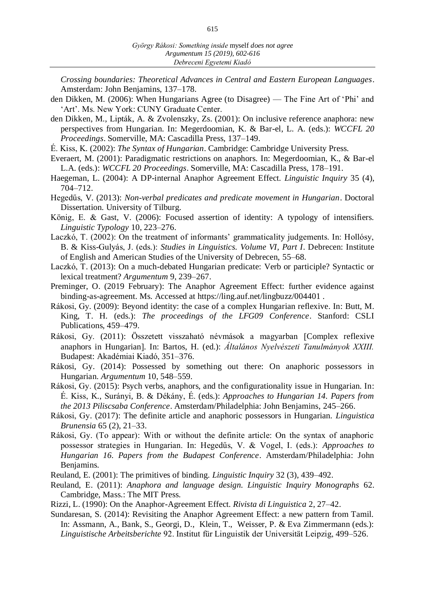*Crossing boundaries: Theoretical Advances in Central and Eastern European Languages*. Amsterdam: John Benjamins, 137–178.

- den Dikken, M. (2006): When Hungarians Agree (to Disagree) The Fine Art of 'Phi' and 'Art'. Ms. New York: CUNY Graduate Center.
- den Dikken, M., Lipták, A. & Zvolenszky, Zs. (2001): On inclusive reference anaphora: new perspectives from Hungarian. In: Megerdoomian, K. & Bar-el, L. A. (eds.): *WCCFL 20 Proceedings*. Somerville, MA: Cascadilla Press, 137–149.
- É. Kiss, K. (2002): *The Syntax of Hungarian*. Cambridge: Cambridge University Press.
- Everaert, M. (2001): Paradigmatic restrictions on anaphors. In: Megerdoomian, K., & Bar-el L.A. (eds.): *WCCFL 20 Proceedings*. Somerville, MA: Cascadilla Press, 178–191.
- Haegeman, L. (2004): A DP-internal Anaphor Agreement Effect. *Linguistic Inquiry* 35 (4), 704–712.
- Hegedűs, V. (2013): *Non-verbal predicates and predicate movement in Hungarian*. Doctoral Dissertation. University of Tilburg.
- König, E. & Gast, V. (2006): Focused assertion of identity: A typology of intensifiers. *Linguistic Typology* 10, 223–276.
- Laczkó, T. (2002): On the treatment of informants' grammaticality judgements. In: Hollósy, B. & Kiss-Gulyás, J. (eds.): *Studies in Linguistics. Volume VI, Part I*. Debrecen: Institute of English and American Studies of the University of Debrecen, 55–68.
- Laczkó, T. (2013): On a much-debated Hungarian predicate: Verb or participle? Syntactic or lexical treatment? *Argumentum* 9, 239–267.
- Preminger, O. (2019 February): The Anaphor Agreement Effect: further evidence against binding-as-agreement. Ms. Accessed at https://ling.auf.net/lingbuzz/004401 .
- Rákosi, Gy. (2009): Beyond identity: the case of a complex Hungarian reflexive. In: Butt, M. King, T. H. (eds.): *The proceedings of the LFG09 Conference*. Stanford: CSLI Publications, 459–479.
- Rákosi, Gy. (2011): Összetett visszaható névmások a magyarban Complex reflexive anaphors in Hungarian]. In: Bartos, H. (ed.): *Általános Nyelvészeti Tanulmányok XXIII*. Budapest: Akadémiai Kiadó, 351–376.
- Rákosi, Gy. (2014): Possessed by something out there: On anaphoric possessors in Hungarian. *Argumentum* 10, 548–559.
- Rákosi, Gy. (2015): Psych verbs, anaphors, and the configurationality issue in Hungarian. In: É. Kiss, K., Surányi, B. & Dékány, É. (eds.): *Approaches to Hungarian 14. Papers from the 2013 Piliscsaba Conference*. Amsterdam/Philadelphia: John Benjamins, 245–266.
- Rákosi, Gy. (2017): The definite article and anaphoric possessors in Hungarian. *Linguistica Brunensia* 65 (2), 21–33.
- Rákosi, Gy. (To appear): With or without the definite article: On the syntax of anaphoric possessor strategies in Hungarian. In: Hegedűs, V. & Vogel, I. (eds.): *Approaches to Hungarian 16. Papers from the Budapest Conference*. Amsterdam/Philadelphia: John Benjamins.
- Reuland, E. (2001): The primitives of binding. *Linguistic Inquiry* 32 (3), 439–492.
- Reuland, E. (2011): *Anaphora and language design. Linguistic Inquiry Monographs* 62. Cambridge, Mass.: The MIT Press.
- Rizzi, L. (1990): On the Anaphor-Agreement Effect. *Rivista di Linguistica* 2, 27–42.
- Sundaresan, S. (2014): Revisiting the Anaphor Agreement Effect: a new pattern from Tamil. In: Assmann, A., Bank, S., Georgi, D., Klein, T., Weisser, P. & Eva Zimmermann (eds.): *Linguistische Arbeitsberichte* 92. Institut für Linguistik der Universität Leipzig, 499–526.